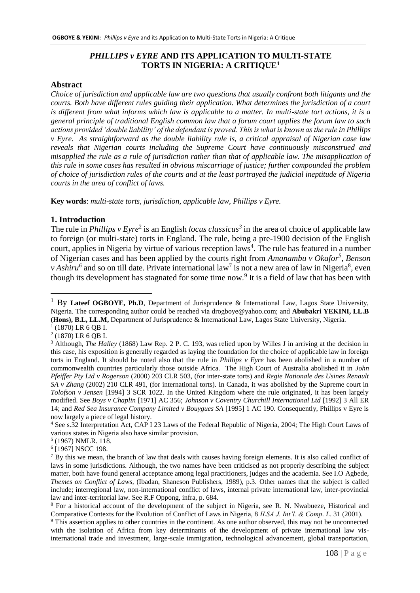## *PHILLIPS v EYRE* **AND ITS APPLICATION TO MULTI-STATE TORTS IN NIGERIA: A CRITIQUE<sup>1</sup>**

#### **Abstract**

*Choice of jurisdiction and applicable law are two questions that usually confront both litigants and the courts. Both have different rules guiding their application. What determines the jurisdiction of a court is different from what informs which law is applicable to a matter. In multi-state tort actions, it is a general principle of traditional English common law that a forum court applies the forum law to such actions provided 'double liability' of the defendant is proved. This is what is known as the rule in Phillips v Eyre. As straightforward as the double liability rule is, a critical appraisal of Nigerian case law reveals that Nigerian courts including the Supreme Court have continuously misconstrued and misapplied the rule as a rule of jurisdiction rather than that of applicable law. The misapplication of this rule in some cases has resulted in obvious miscarriage of justice; further compounded the problem of choice of jurisdiction rules of the courts and at the least portrayed the judicial ineptitude of Nigeria courts in the area of conflict of laws.*

**Key words**: *multi-state torts, jurisdiction, applicable law, Phillips v Eyre.*

#### **1. Introduction**

The rule in *Phillips v Eyre*<sup>2</sup> is an English *locus classicus*<sup>3</sup> in the area of choice of applicable law to foreign (or multi-state) torts in England. The rule, being a pre-1900 decision of the English court, applies in Nigeria by virtue of various reception laws<sup>4</sup>. The rule has featured in a number of Nigerian cases and has been applied by the courts right from *Amanambu v Okafor<sup>5</sup> , Benson v* Ashiru<sup>6</sup> and so on till date. Private international law<sup>7</sup> is not a new area of law in Nigeria<sup>8</sup>, even though its development has stagnated for some time now.<sup>9</sup> It is a field of law that has been with

<u>.</u>

<sup>&</sup>lt;sup>1</sup> By Lateef OGBOYE, Ph.D, Department of Jurisprudence & International Law, Lagos State University, Nigeria. The corresponding author could be reached via [drogboye@yahoo.com;](mailto:drogboye@yahoo.com) and **Abubakri YEKINI, LL.B (Hons), B.L, LL.M,** Department of Jurisprudence & International Law, Lagos State University, Nigeria.

<sup>1</sup> (1870) LR 6 QB I.

<sup>2</sup> (1870) LR 6 QB I.

<sup>3</sup> Although, *The Halley* (1868) Law Rep. 2 P. C. 193, was relied upon by Willes J in arriving at the decision in this case, his exposition is generally regarded as laying the foundation for the choice of applicable law in foreign torts in England. It should be noted also that the rule in *Phillips v Eyre* has been abolished in a number of commonwealth countries particularly those outside Africa. The High Court of Australia abolished it in *John Pfeiffer Pty Ltd v Rogerson* (2000) 203 CLR 503, (for inter-state torts) and *Regie Nationale des Usines Renault SA v Zhang* (2002) 210 CLR 491, (for international torts). In Canada, it was abolished by the Supreme court in *Tolofson v Jensen* [1994] 3 SCR 1022. In the United Kingdom where the rule originated, it has been largely modified. See *Boys v Chaplin* [1971] AC 356; *Johnson v Coventry Churchill International Ltd* [1992] 3 All ER 14; and *Red Sea Insurance Company Limited v Bouygues SA* [1995] 1 AC 190. Consequently, Phillips v Eyre is now largely a piece of legal history.

<sup>4</sup> See s.32 Interpretation Act, CAP I 23 Laws of the Federal Republic of Nigeria, 2004; The High Court Laws of various states in Nigeria also have similar provision.

<sup>5</sup> (1967) NMLR. 118.

<sup>6</sup> [1967] NSCC 198.

<sup>&</sup>lt;sup>7</sup> By this we mean, the branch of law that deals with causes having foreign elements. It is also called conflict of laws in some jurisdictions. Although, the two names have been criticised as not properly describing the subject matter, both have found general acceptance among legal practitioners, judges and the academia. See I.O Agbede, *Themes on Conflict of Laws,* (Ibadan, Shaneson Publishers, 1989), p.3. Other names that the subject is called include; interregional law, non-international conflict of laws, internal private international law, inter-provincial law and inter-territorial law. See R.F Oppong, infra, p. 684.

<sup>8</sup> For a historical account of the development of the subject in Nigeria, see R. N. Nwabueze, Historical and Comparative Contexts for the Evolution of Conflict of Laws in Nigeria, 8 *ILSA J. Int'l. & Comp. L*. 31 (2001).

<sup>9</sup> This assertion applies to other countries in the continent. As one author observed, this may not be unconnected with the isolation of Africa from key determinants of the development of private international law visinternational trade and investment, large-scale immigration, technological advancement, global transportation,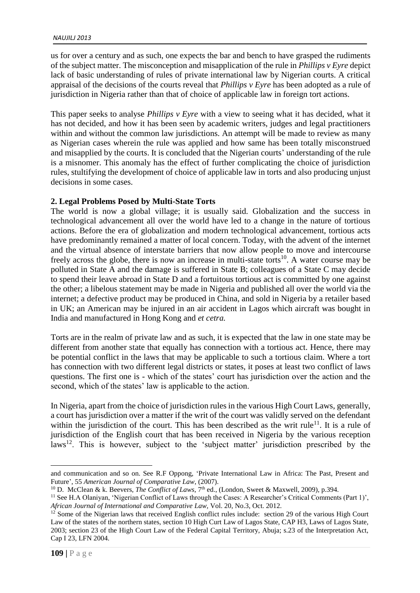us for over a century and as such, one expects the bar and bench to have grasped the rudiments of the subject matter. The misconception and misapplication of the rule in *Phillips v Eyre* depict lack of basic understanding of rules of private international law by Nigerian courts. A critical appraisal of the decisions of the courts reveal that *Phillips v Eyre* has been adopted as a rule of jurisdiction in Nigeria rather than that of choice of applicable law in foreign tort actions.

This paper seeks to analyse *Phillips v Eyre* with a view to seeing what it has decided, what it has not decided, and how it has been seen by academic writers, judges and legal practitioners within and without the common law jurisdictions. An attempt will be made to review as many as Nigerian cases wherein the rule was applied and how same has been totally misconstrued and misapplied by the courts. It is concluded that the Nigerian courts' understanding of the rule is a misnomer. This anomaly has the effect of further complicating the choice of jurisdiction rules, stultifying the development of choice of applicable law in torts and also producing unjust decisions in some cases.

# **2. Legal Problems Posed by Multi-State Torts**

The world is now a global village; it is usually said. Globalization and the success in technological advancement all over the world have led to a change in the nature of tortious actions. Before the era of globalization and modern technological advancement, tortious acts have predominantly remained a matter of local concern. Today, with the advent of the internet and the virtual absence of interstate barriers that now allow people to move and intercourse freely across the globe, there is now an increase in multi-state torts<sup>10</sup>. A water course may be polluted in State A and the damage is suffered in State B; colleagues of a State C may decide to spend their leave abroad in State D and a fortuitous tortious act is committed by one against the other; a libelous statement may be made in Nigeria and published all over the world via the internet; a defective product may be produced in China, and sold in Nigeria by a retailer based in UK; an American may be injured in an air accident in Lagos which aircraft was bought in India and manufactured in Hong Kong and *et cetra.*

Torts are in the realm of private law and as such, it is expected that the law in one state may be different from another state that equally has connection with a tortious act. Hence, there may be potential conflict in the laws that may be applicable to such a tortious claim. Where a tort has connection with two different legal districts or states, it poses at least two conflict of laws questions. The first one is - which of the states' court has jurisdiction over the action and the second, which of the states' law is applicable to the action.

In Nigeria, apart from the choice of jurisdiction rules in the various High Court Laws, generally, a court has jurisdiction over a matter if the writ of the court was validly served on the defendant within the jurisdiction of the court. This has been described as the writ rule<sup>11</sup>. It is a rule of jurisdiction of the English court that has been received in Nigeria by the various reception laws<sup>12</sup>. This is however, subject to the 'subject matter' jurisdiction prescribed by the

and communication and so on. See R.F Oppong, 'Private International Law in Africa: The Past, Present and Future', 55 *American Journal of Comparative Law*, (2007).

<sup>&</sup>lt;sup>10</sup> D. McClean & k. Beevers, *The Conflict of Laws*, 7<sup>th</sup> ed., (London, Sweet & Maxwell, 2009), p.394.

<sup>&</sup>lt;sup>11</sup> See H.A Olaniyan, 'Nigerian Conflict of Laws through the Cases: A Researcher's Critical Comments (Part 1)', *African Journal of International and Comparative Law,* Vol. 20, No.3, Oct. 2012.

 $12$  Some of the Nigerian laws that received English conflict rules include: section 29 of the various High Court Law of the states of the northern states, section 10 High Curt Law of Lagos State, CAP H3, Laws of Lagos State, 2003; section 23 of the High Court Law of the Federal Capital Territory, Abuja; s.23 of the Interpretation Act, Cap I 23, LFN 2004.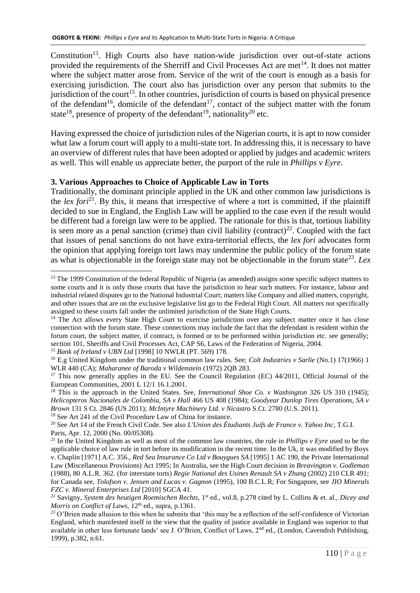Constitution<sup>13</sup>. High Courts also have nation-wide jurisdiction over out-of-state actions provided the requirements of the Sherriff and Civil Processes Act are met<sup>14</sup>. It does not matter where the subject matter arose from. Service of the writ of the court is enough as a basis for exercising jurisdiction. The court also has jurisdiction over any person that submits to the jurisdiction of the court<sup>15</sup>. In other countries, jurisdiction of courts is based on physical presence of the defendant<sup>16</sup>, domicile of the defendant<sup>17</sup>, contact of the subject matter with the forum state<sup>18</sup>, presence of property of the defendant<sup>19</sup>, nationality<sup>20</sup> etc.

Having expressed the choice of jurisdiction rules of the Nigerian courts, it is apt to now consider what law a forum court will apply to a multi-state tort. In addressing this, it is necessary to have an overview of different rules that have been adopted or applied by judges and academic writers as well. This will enable us appreciate better, the purport of the rule in *Phillips v Eyre*.

## **3. Various Approaches to Choice of Applicable Law in Torts**

Traditionally, the dominant principle applied in the UK and other common law jurisdictions is the *lex fori*<sup>21</sup>. By this, it means that irrespective of where a tort is committed, if the plaintiff decided to sue in England, the English Law will be applied to the case even if the result would be different had a foreign law were to be applied. The rationale for this is that, tortious liability is seen more as a penal sanction (crime) than civil liability (contract)<sup>22</sup>. Coupled with the fact that issues of penal sanctions do not have extra-territorial effects, the *lex fori* advocates form the opinion that applying foreign tort laws may undermine the public policy of the forum state as what is objectionable in the foreign state may not be objectionable in the forum state<sup>23</sup>. Lex

<sup>15</sup> *Bank of Ireland v UBN Ltd* [1998] 10 NWLR (PT. 569) 178.

<u>.</u>

 $13$  The 1999 Constitution of the federal Republic of Nigeria (as amended) assigns some specific subject matters to some courts and it is only those courts that have the jurisdiction to hear such matters. For instance, labour and industrial related disputes go to the National Industrial Court; matters like Company and allied matters, copyright, and other issues that are on the exclusive legislative list go to the Federal High Court. All matters not specifically assigned to these courts fall under the unlimited jurisdiction of the State High Courts.

<sup>&</sup>lt;sup>14</sup> The Act allows every State High Court to exercise jurisdiction over any subject matter once it has close connection with the forum state. These connections may include the fact that the defendant is resident within the forum court, the subject matter, if contract, is formed or to be performed within jurisdiction etc. see generally; section 101, Sheriffs and Civil Processes Act, CAP S6, Laws of the Federation of Nigeria, 2004.

<sup>16</sup> E.g United Kingdom under the traditional common law rules. See; *Colt Industries v Sarlie* (No.1) 17(1966) 1 WLR 440 (CA); *Maharanee of Baroda v Wildenstein* (1972) 2QB 283.

<sup>&</sup>lt;sup>17</sup> This now generally applies in the EU. See the Council Regulation (EC) 44/2011, Official Journal of the European Communities, 2001 L 12/1 16.1.2001.

<sup>18</sup> This is the approach in the United States. See, *International Shoe Co. v Washington* 326 US 310 (1945); *Helicopteros Nacionales de Colombia, SA v Hall* 466 US 408 (1984); *Goodyear Dunlop Tires Operations, SA v Brown* 131 S Ct. 2846 (US 2011); *McIntyre Machinery Ltd. v Nicastro* S.Ct. 2780 (U.S. 2011).

<sup>19</sup> See Art 241 of the Civil Procedure Law of China for instance.

<sup>20</sup> See Art 14 of the French Civil Code. See also *L'Union des Étudiants Juifs de France v. Yahoo Inc*, T.G.I. Paris, Apr. 12, 2000 (No. 00/05308).

<sup>21</sup> In the United Kingdom as well as most of the common law countries, the rule in *Phillips v Eyre* used to be the applicable choice of law rule in tort before its modification in the recent time. In the Uk, it was modified by Boys v. Chaplin [1971] A.C. 356., *Red Sea Insurance Co Ltd v Bouygues SA* [1995] 1 AC 190, the Private International Law (Miscellaneous Provisions) Act 1995; In Australia, see the High Court decision in *Breavington v. Godleman* (1988), 80 A.L.R. 362. (for interstate torts) *Regie National des Usines Renault SA v Zhang* (2002) 210 CLR 491; for Canada see, *Tolofson v. Jensen and Lucas v. Gagnon* (1995), 100 B.C.L.R; For Singapore, see *JIO Minerals FZC v. Mineral Enterprises Ltd* [2010] SGCA 41.

<sup>22</sup> Savigny, *System des heutigen Roemischen Rechts*, 1st ed., vol.8, p.278 cited by L. Collins & et. al., *Dicey and Morris on Conflict of Laws,* 12<sup>th</sup> ed., supra, p.1361.

<sup>&</sup>lt;sup>23</sup> O'Brien made allusion to this when he submits that 'this may be a reflection of the self-confidence of Victorian England, which manifested itself in the view that the quality of justice available in England was superior to that available in other less fortunate lands' see J. O'Brien, Conflict of Laws, 2<sup>nd</sup> ed., (London, Cavendish Publishing, 1999), p.382, n.61.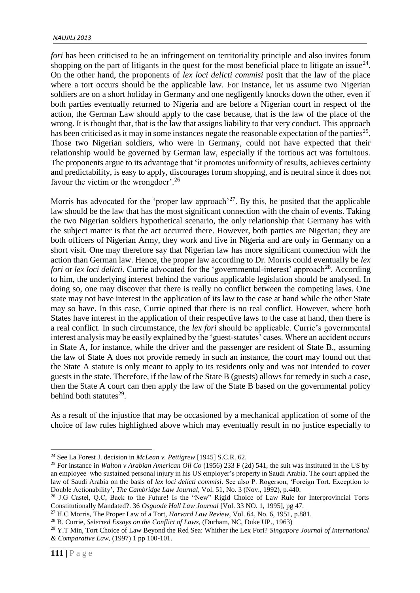*fori* has been criticised to be an infringement on territoriality principle and also invites forum shopping on the part of litigants in the quest for the most beneficial place to litigate an issue $^{24}$ . On the other hand, the proponents of *lex loci delicti commisi* posit that the law of the place where a tort occurs should be the applicable law. For instance, let us assume two Nigerian soldiers are on a short holiday in Germany and one negligently knocks down the other, even if both parties eventually returned to Nigeria and are before a Nigerian court in respect of the action, the German Law should apply to the case because, that is the law of the place of the wrong. It is thought that, that is the law that assigns liability to that very conduct. This approach has been criticised as it may in some instances negate the reasonable expectation of the parties<sup>25</sup>. Those two Nigerian soldiers, who were in Germany, could not have expected that their relationship would be governed by German law, especially if the tortious act was fortuitous. The proponents argue to its advantage that 'it promotes uniformity of results, achieves certainty and predictability, is easy to apply, discourages forum shopping, and is neutral since it does not favour the victim or the wrongdoer'.<sup>26</sup>

Morris has advocated for the 'proper law approach'<sup>27</sup>. By this, he posited that the applicable law should be the law that has the most significant connection with the chain of events. Taking the two Nigerian soldiers hypothetical scenario, the only relationship that Germany has with the subject matter is that the act occurred there. However, both parties are Nigerian; they are both officers of Nigerian Army, they work and live in Nigeria and are only in Germany on a short visit. One may therefore say that Nigerian law has more significant connection with the action than German law. Hence, the proper law according to Dr. Morris could eventually be *lex fori* or *lex loci delicti*. Currie advocated for the 'governmental-interest' approach<sup>28</sup>. According to him, the underlying interest behind the various applicable legislation should be analysed. In doing so, one may discover that there is really no conflict between the competing laws. One state may not have interest in the application of its law to the case at hand while the other State may so have. In this case, Currie opined that there is no real conflict. However, where both States have interest in the application of their respective laws to the case at hand, then there is a real conflict. In such circumstance, the *lex fori* should be applicable. Currie's governmental interest analysis may be easily explained by the 'guest-statutes' cases. Where an accident occurs in State A, for instance, while the driver and the passenger are resident of State B., assuming the law of State A does not provide remedy in such an instance, the court may found out that the State A statute is only meant to apply to its residents only and was not intended to cover guests in the state. Therefore, if the law of the State B (guests) allows for remedy in such a case, then the State A court can then apply the law of the State B based on the governmental policy behind both statutes<sup>29</sup>.

As a result of the injustice that may be occasioned by a mechanical application of some of the choice of law rules highlighted above which may eventually result in no justice especially to

<u>.</u>

<sup>24</sup> See La Forest J. decision in *McLean v. Pettigrew* [1945] S.C.R. 62.

<sup>25</sup> For instance in *Walton v Arabian American Oil Co* (1956) 233 F (2d) 541, the suit was instituted in the US by an employee who sustained personal injury in his US employer's property in Saudi Arabia. The court applied the law of Saudi Arabia on the basis of *lex loci delicti commisi*. See also P. Rogerson, 'Foreign Tort. Exception to Double Actionability', *The Cambridge Law Journal*, Vol. 51, No. 3 (Nov., 1992), p.440.

<sup>&</sup>lt;sup>26</sup> J.G Castel, Q.C, Back to the Future! Is the "New" Rigid Choice of Law Rule for Interprovincial Torts Constitutionally Mandated?. 36 *Osgoode Hall Law Journal* [Vol. 33 NO. 1, 1995], pg 47.

<sup>27</sup> H.C Morris, The Proper Law of a Tort, *Harvard Law Review,* Vol. 64, No. 6, 1951, p.881.

<sup>28</sup> B. Currie, *Selected Essays on the Conflict of Laws,* (Durham, NC, Duke UP., 1963)

<sup>29</sup> Y.T Min, Tort Choice of Law Beyond the Red Sea: Whither the Lex Fori? *Singapore Journal of International & Comparative Law,* (1997) 1 pp 100-101.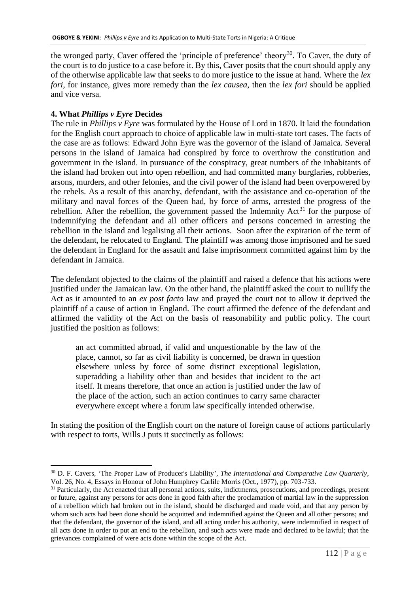the wronged party, Caver offered the 'principle of preference' theory<sup>30</sup>. To Caver, the duty of the court is to do justice to a case before it. By this, Caver posits that the court should apply any of the otherwise applicable law that seeks to do more justice to the issue at hand. Where the *lex fori,* for instance, gives more remedy than the *lex causea*, then the *lex fori* should be applied and vice versa.

# **4. What** *Phillips v Eyre* **Decides**

1

The rule in *Phillips v Eyre* was formulated by the House of Lord in 1870. It laid the foundation for the English court approach to choice of applicable law in multi-state tort cases. The facts of the case are as follows: Edward John Eyre was the governor of the island of Jamaica. Several persons in the island of Jamaica had conspired by force to overthrow the constitution and government in the island. In pursuance of the conspiracy, great numbers of the inhabitants of the island had broken out into open rebellion, and had committed many burglaries, robberies, arsons, murders, and other felonies, and the civil power of the island had been overpowered by the rebels. As a result of this anarchy, defendant, with the assistance and co-operation of the military and naval forces of the Queen had, by force of arms, arrested the progress of the rebellion. After the rebellion, the government passed the Indemnity  $Act^{31}$  for the purpose of indemnifying the defendant and all other officers and persons concerned in arresting the rebellion in the island and legalising all their actions. Soon after the expiration of the term of the defendant, he relocated to England. The plaintiff was among those imprisoned and he sued the defendant in England for the assault and false imprisonment committed against him by the defendant in Jamaica.

The defendant objected to the claims of the plaintiff and raised a defence that his actions were justified under the Jamaican law. On the other hand, the plaintiff asked the court to nullify the Act as it amounted to an *ex post facto* law and prayed the court not to allow it deprived the plaintiff of a cause of action in England. The court affirmed the defence of the defendant and affirmed the validity of the Act on the basis of reasonability and public policy. The court justified the position as follows:

an act committed abroad, if valid and unquestionable by the law of the place, cannot, so far as civil liability is concerned, be drawn in question elsewhere unless by force of some distinct exceptional legislation, superadding a liability other than and besides that incident to the act itself. It means therefore, that once an action is justified under the law of the place of the action, such an action continues to carry same character everywhere except where a forum law specifically intended otherwise.

In stating the position of the English court on the nature of foreign cause of actions particularly with respect to torts, Wills J puts it succinctly as follows:

<sup>30</sup> D. F. Cavers, 'The Proper Law of Producer's Liability', *The International and Comparative Law Quarterly*, Vol. 26, No. 4, Essays in Honour of John Humphrey Carlile Morris (Oct., 1977), pp. 703-733.

<sup>&</sup>lt;sup>31</sup> Particularly, the Act enacted that all personal actions, suits, indictments, prosecutions, and proceedings, present or future, against any persons for acts done in good faith after the proclamation of martial law in the suppression of a rebellion which had broken out in the island, should be discharged and made void, and that any person by whom such acts had been done should be acquitted and indemnified against the Queen and all other persons; and that the defendant, the governor of the island, and all acting under his authority, were indemnified in respect of all acts done in order to put an end to the rebellion, and such acts were made and declared to be lawful; that the grievances complained of were acts done within the scope of the Act.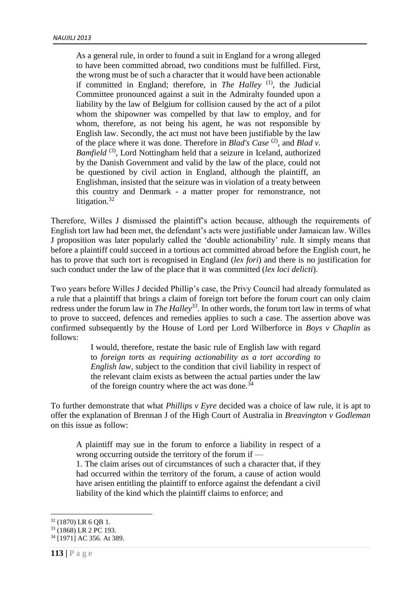As a general rule, in order to found a suit in England for a wrong alleged to have been committed abroad, two conditions must be fulfilled. First, the wrong must be of such a character that it would have been actionable if committed in England; therefore, in *The Halley* (1), the Judicial Committee pronounced against a suit in the Admiralty founded upon a liability by the law of Belgium for collision caused by the act of a pilot whom the shipowner was compelled by that law to employ, and for whom, therefore, as not being his agent, he was not responsible by English law. Secondly, the act must not have been justifiable by the law of the place where it was done. Therefore in *Blad's Case* (2), and *Blad v. Bamfield*<sup>(3)</sup>, Lord Nottingham held that a seizure in Iceland, authorized by the Danish Government and valid by the law of the place, could not be questioned by civil action in England, although the plaintiff, an Englishman, insisted that the seizure was in violation of a treaty between this country and Denmark - a matter proper for remonstrance, not litigation.<sup>32</sup>

Therefore, Willes J dismissed the plaintiff's action because, although the requirements of English tort law had been met, the defendant's acts were justifiable under Jamaican law. Willes J proposition was later popularly called the 'double actionability' rule. It simply means that before a plaintiff could succeed in a tortious act committed abroad before the English court, he has to prove that such tort is recognised in England (*lex fori*) and there is no justification for such conduct under the law of the place that it was committed (*lex loci delicti*).

Two years before Willes J decided Phillip's case, the Privy Council had already formulated as a rule that a plaintiff that brings a claim of foreign tort before the forum court can only claim redress under the forum law in *The Halley<sup>33</sup>*. In other words, the forum tort law in terms of what to prove to succeed, defences and remedies applies to such a case. The assertion above was confirmed subsequently by the House of Lord per Lord Wilberforce in *Boys v Chaplin* as follows:

> I would, therefore, restate the basic rule of English law with regard to *foreign torts as requiring actionability as a tort according to English law*, subject to the condition that civil liability in respect of the relevant claim exists as between the actual parties under the law of the foreign country where the act was done.<sup>34</sup>

To further demonstrate that what *Phillips v Eyre* decided was a choice of law rule, it is apt to offer the explanation of Brennan J of the High Court of Australia in *Breavington v Godleman*  on this issue as follow:

A plaintiff may sue in the forum to enforce a liability in respect of a wrong occurring outside the territory of the forum if —

1. The claim arises out of circumstances of such a character that, if they had occurred within the territory of the forum, a cause of action would have arisen entitling the plaintiff to enforce against the defendant a civil liability of the kind which the plaintiff claims to enforce; and

 $32$  (1870) LR 6 OB 1.

<sup>33</sup> (1868) LR 2 PC 193.

<sup>34</sup> [1971] AC 356. At 389.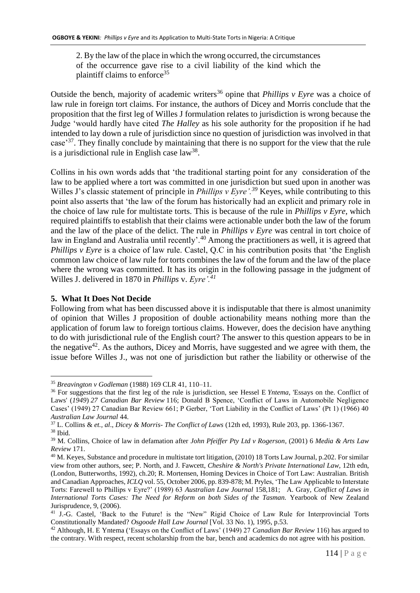2. By the law of the place in which the wrong occurred, the circumstances of the occurrence gave rise to a civil liability of the kind which the plaintiff claims to enforce<sup>35</sup>

Outside the bench, majority of academic writers<sup>36</sup> opine that *Phillips v Eyre* was a choice of law rule in foreign tort claims. For instance, the authors of Dicey and Morris conclude that the proposition that the first leg of Willes J formulation relates to jurisdiction is wrong because the Judge 'would hardly have cited *The Halley* as his sole authority for the proposition if he had intended to lay down a rule of jurisdiction since no question of jurisdiction was involved in that case<sup>37</sup>. They finally conclude by maintaining that there is no support for the view that the rule is a jurisdictional rule in English case law<sup>38</sup>.

Collins in his own words adds that 'the traditional starting point for any consideration of the law to be applied where a tort was committed in one jurisdiction but sued upon in another was Willes J's classic statement of principle in *Phillips v Eyre'*.<sup>39</sup> Keyes, while contributing to this point also asserts that 'the law of the forum has historically had an explicit and primary role in the choice of law rule for multistate torts. This is because of the rule in *Phillips v Eyre*, which required plaintiffs to establish that their claims were actionable under both the law of the forum and the law of the place of the delict. The rule in *Phillips v Eyre* was central in tort choice of law in England and Australia until recently'.<sup>40</sup> Among the practitioners as well, it is agreed that *Phillips v Eyre* is a choice of law rule. Castel, Q.C in his contribution posits that 'the English common law choice of law rule for torts combines the law of the forum and the law of the place where the wrong was committed. It has its origin in the following passage in the judgment of Willes J. delivered in 1870 in *Phillips* v. *Eyre'.<sup>41</sup>*

## **5. What It Does Not Decide**

<u>.</u>

Following from what has been discussed above it is indisputable that there is almost unanimity of opinion that Willes J proposition of double actionability means nothing more than the application of forum law to foreign tortious claims. However, does the decision have anything to do with jurisdictional rule of the English court? The answer to this question appears to be in the negative<sup>42</sup>. As the authors, Dicey and Morris, have suggested and we agree with them, the issue before Willes J., was not one of jurisdiction but rather the liability or otherwise of the

<sup>35</sup> *Breavington v Godleman* (1988) 169 CLR 41, 110–11.

<sup>36</sup> For suggestions that the first leg of the rule is jurisdiction, see Hessel E *Yntema*, 'Essays on the. Conflict of Laws' (*1949*) *27 Canadian Bar Review* 116; Donald B Spence, 'Conflict of Laws in Automobile Negligence Cases' (1949) 27 Canadian Bar Review 661; P Gerber, 'Tort Liability in the Conflict of Laws' (Pt 1) (1966) 40 *Australian Law Journal* 44.

<sup>37</sup> L. Collins & *et., al*., *Dicey & Morris- The Conflict of Laws* (12th ed, 1993), Rule 203, pp. 1366-1367. <sup>38</sup> Ibid.

<sup>39</sup> M. Collins, Choice of law in defamation after *John Pfeiffer Pty Ltd v Rogerson*, (2001) 6 *Media & Arts Law Review* 171.

<sup>&</sup>lt;sup>40</sup> M. Keyes, Substance and procedure in multistate tort litigation, (2010) 18 Torts Law Journal, p.202. For similar view from other authors, see; P. North, and J. Fawcett, *Cheshire & North's Private International Law,* 12th edn, (London, Butterworths, 1992), ch.20; R. Mortensen, Homing Devices in Choice of Tort Law: Australian. British and Canadian Approaches, *ICLQ* vol. 55, October 2006, pp. 839-878; M. Pryles, 'The Law Applicable to Interstate Torts: Farewell to Phillips v Eyre?' (1989) 63 *Australian Law Journal* 158,181; A. Gray, *Conflict of Laws in International Torts Cases: The Need for Reform on both Sides of the Tasman.* Yearbook of New Zealand Jurisprudence, 9, (2006).

<sup>&</sup>lt;sup>41</sup> J.-G. Castel, 'Back to the Future! is the "New" Rigid Choice of Law Rule for Interprovincial Torts Constitutionally Mandated? *Osgoode Hall Law Journal* [Vol. 33 No. 1), 1995, p.53.

<sup>42</sup> Although, H. E Yntema ('Essays on the Conflict of Laws' (1949) 27 *Canadian Bar Review* 116) has argued to the contrary. With respect, recent scholarship from the bar, bench and academics do not agree with his position.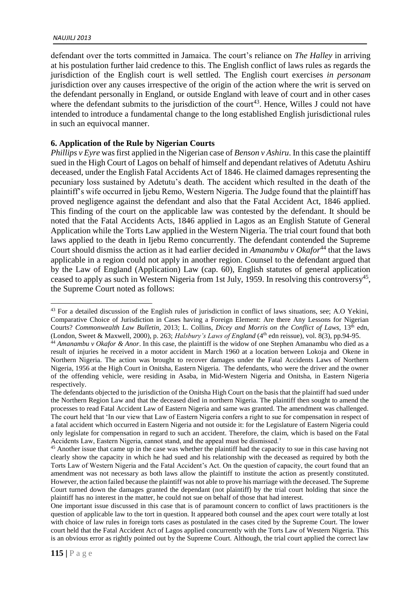defendant over the torts committed in Jamaica. The court's reliance on *The Halley* in arriving at his postulation further laid credence to this. The English conflict of laws rules as regards the jurisdiction of the English court is well settled. The English court exercises *in personam* jurisdiction over any causes irrespective of the origin of the action where the writ is served on the defendant personally in England, or outside England with leave of court and in other cases where the defendant submits to the jurisdiction of the court<sup>43</sup>. Hence, Willes J could not have intended to introduce a fundamental change to the long established English jurisdictional rules in such an equivocal manner.

## **6. Application of the Rule by Nigerian Courts**

*Phillips v Eyre* was first applied in the Nigerian case of *Benson v Ashiru*. In this case the plaintiff sued in the High Court of Lagos on behalf of himself and dependant relatives of Adetutu Ashiru deceased, under the English Fatal Accidents Act of 1846. He claimed damages representing the pecuniary loss sustained by Adetutu's death. The accident which resulted in the death of the plaintiff's wife occurred in Ijebu Remo, Western Nigeria. The Judge found that the plaintiff has proved negligence against the defendant and also that the Fatal Accident Act, 1846 applied. This finding of the court on the applicable law was contested by the defendant. It should be noted that the Fatal Accidents Acts, 1846 applied in Lagos as an English Statute of General Application while the Torts Law applied in the Western Nigeria. The trial court found that both laws applied to the death in Ijebu Remo concurrently. The defendant contended the Supreme Court should dismiss the action as it had earlier decided in *Amanambu v Okafor*<sup>44</sup> that the laws applicable in a region could not apply in another region. Counsel to the defendant argued that by the Law of England (Application) Law (cap. 60), English statutes of general application ceased to apply as such in Western Nigeria from 1st July, 1959. In resolving this controversy<sup>45</sup>, the Supreme Court noted as follows:

<sup>&</sup>lt;u>.</u> <sup>43</sup> For a detailed discussion of the English rules of jurisdiction in conflict of laws situations, see; A.O Yekini, Comparative Choice of Jurisdiction in Cases having a Foreign Element: Are there Any Lessons for Nigerian Courts? *Commonwealth Law Bulletin, 2013; L. Collins, Dicey and Morris on the Conflict of Laws, 13<sup>th</sup> edn,* (London, Sweet & Maxwell, 2000), p. 263; *Halsbury's Laws of England* (4th edn reissue), vol. 8(3), pp.94-95.

<sup>&</sup>lt;sup>44</sup> Amanambu v Okafor & Anor. In this case, the plaintiff is the widow of one Stephen Amanambu who died as a result of injuries he received in a motor accident in March 1960 at a location between Lokoja and Okene in Northern Nigeria. The action was brought to recover damages under the Fatal Accidents Laws of Northern Nigeria, 1956 at the High Court in Onitsha, Eastern Nigeria. The defendants, who were the driver and the owner of the offending vehicle, were residing in Asaba, in Mid-Western Nigeria and Onitsha, in Eastern Nigeria respectively.

The defendants objected to the jurisdiction of the Onitsha High Court on the basis that the plaintiff had sued under the Northern Region Law and that the deceased died in northern Nigeria. The plaintiff then sought to amend the processes to read Fatal Accident Law of Eastern Nigeria and same was granted. The amendment was challenged. The court held that 'In our view that Law of Eastern Nigeria confers a right to sue for compensation in respect of a fatal accident which occurred in Eastern Nigeria and not outside it: for the Legislature of Eastern Nigeria could only legislate for compensation in regard to such an accident. Therefore, the claim, which is based on the Fatal Accidents Law, Eastern Nigeria, cannot stand, and the appeal must be dismissed.'

<sup>&</sup>lt;sup>45</sup> Another issue that came up in the case was whether the plaintiff had the capacity to sue in this case having not clearly show the capacity in which he had sued and his relationship with the deceased as required by both the Torts Law of Western Nigeria and the Fatal Accident's Act. On the question of capacity, the court found that an amendment was not necessary as both laws allow the plaintiff to institute the action as presently constituted. However, the action failed because the plaintiff was not able to prove his marriage with the deceased. The Supreme Court turned down the damages granted the dependant (not plaintiff) by the trial court holding that since the plaintiff has no interest in the matter, he could not sue on behalf of those that had interest.

One important issue discussed in this case that is of paramount concern to conflict of laws practitioners is the question of applicable law to the tort in question. It appeared both counsel and the apex court were totally at lost with choice of law rules in foreign torts cases as postulated in the cases cited by the Supreme Court. The lower court held that the Fatal Accident Act of Lagos applied concurrently with the Torts Law of Western Nigeria. This is an obvious error as rightly pointed out by the Supreme Court. Although, the trial court applied the correct law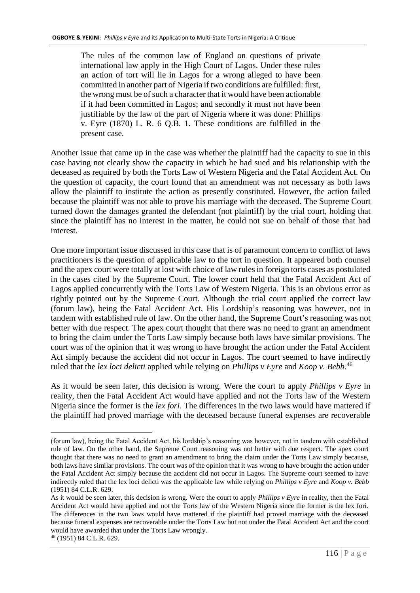The rules of the common law of England on questions of private international law apply in the High Court of Lagos. Under these rules an action of tort will lie in Lagos for a wrong alleged to have been committed in another part of Nigeria if two conditions are fulfilled: first, the wrong must be of such a character that it would have been actionable if it had been committed in Lagos; and secondly it must not have been justifiable by the law of the part of Nigeria where it was done: Phillips v. Eyre (1870) L. R. 6 Q.B. 1. These conditions are fulfilled in the present case.

Another issue that came up in the case was whether the plaintiff had the capacity to sue in this case having not clearly show the capacity in which he had sued and his relationship with the deceased as required by both the Torts Law of Western Nigeria and the Fatal Accident Act. On the question of capacity, the court found that an amendment was not necessary as both laws allow the plaintiff to institute the action as presently constituted. However, the action failed because the plaintiff was not able to prove his marriage with the deceased. The Supreme Court turned down the damages granted the defendant (not plaintiff) by the trial court, holding that since the plaintiff has no interest in the matter, he could not sue on behalf of those that had interest.

One more important issue discussed in this case that is of paramount concern to conflict of laws practitioners is the question of applicable law to the tort in question. It appeared both counsel and the apex court were totally at lost with choice of law rules in foreign torts cases as postulated in the cases cited by the Supreme Court. The lower court held that the Fatal Accident Act of Lagos applied concurrently with the Torts Law of Western Nigeria. This is an obvious error as rightly pointed out by the Supreme Court. Although the trial court applied the correct law (forum law), being the Fatal Accident Act, His Lordship's reasoning was however, not in tandem with established rule of law. On the other hand, the Supreme Court's reasoning was not better with due respect. The apex court thought that there was no need to grant an amendment to bring the claim under the Torts Law simply because both laws have similar provisions. The court was of the opinion that it was wrong to have brought the action under the Fatal Accident Act simply because the accident did not occur in Lagos. The court seemed to have indirectly ruled that the *lex loci delicti* applied while relying on *Phillips v Eyre* and *Koop v. Bebb.*<sup>46</sup>

As it would be seen later, this decision is wrong. Were the court to apply *Phillips v Eyre* in reality, then the Fatal Accident Act would have applied and not the Torts law of the Western Nigeria since the former is the *lex fori*. The differences in the two laws would have mattered if the plaintiff had proved marriage with the deceased because funeral expenses are recoverable

<sup>(</sup>forum law), being the Fatal Accident Act, his lordship's reasoning was however, not in tandem with established rule of law. On the other hand, the Supreme Court reasoning was not better with due respect. The apex court thought that there was no need to grant an amendment to bring the claim under the Torts Law simply because, both laws have similar provisions. The court was of the opinion that it was wrong to have brought the action under the Fatal Accident Act simply because the accident did not occur in Lagos. The Supreme court seemed to have indirectly ruled that the lex loci delicti was the applicable law while relying on *Phillips v Eyre* and *Koop v. Bebb* (1951) 84 C.L.R. 629.

As it would be seen later, this decision is wrong. Were the court to apply *Phillips v Eyre* in reality, then the Fatal Accident Act would have applied and not the Torts law of the Western Nigeria since the former is the lex fori. The differences in the two laws would have mattered if the plaintiff had proved marriage with the deceased because funeral expenses are recoverable under the Torts Law but not under the Fatal Accident Act and the court would have awarded that under the Torts Law wrongly.

<sup>46</sup> (1951) 84 C.L.R. 629.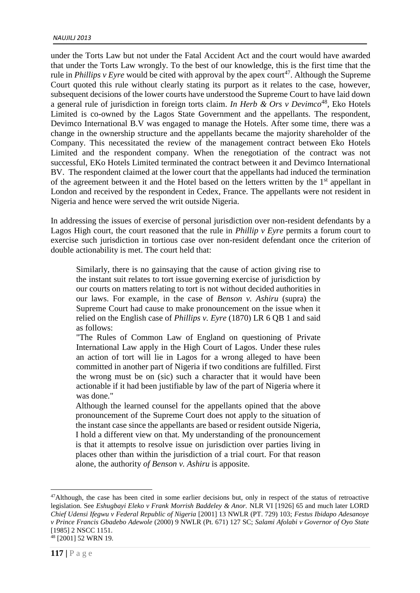under the Torts Law but not under the Fatal Accident Act and the court would have awarded that under the Torts Law wrongly. To the best of our knowledge, this is the first time that the rule in *Phillips v Eyre* would be cited with approval by the apex court<sup>47</sup>. Although the Supreme Court quoted this rule without clearly stating its purport as it relates to the case, however, subsequent decisions of the lower courts have understood the Supreme Court to have laid down a general rule of jurisdiction in foreign torts claim. *In Herb & Ors v Devimco*<sup>48</sup>, Eko Hotels Limited is co-owned by the Lagos State Government and the appellants. The respondent, Devimco International B.V was engaged to manage the Hotels. After some time, there was a change in the ownership structure and the appellants became the majority shareholder of the Company. This necessitated the review of the management contract between Eko Hotels Limited and the respondent company. When the renegotiation of the contract was not successful, EKo Hotels Limited terminated the contract between it and Devimco International BV. The respondent claimed at the lower court that the appellants had induced the termination of the agreement between it and the Hotel based on the letters written by the  $1<sup>st</sup>$  appellant in London and received by the respondent in Cedex, France. The appellants were not resident in Nigeria and hence were served the writ outside Nigeria.

In addressing the issues of exercise of personal jurisdiction over non-resident defendants by a Lagos High court, the court reasoned that the rule in *Phillip v Eyre* permits a forum court to exercise such jurisdiction in tortious case over non-resident defendant once the criterion of double actionability is met. The court held that:

Similarly, there is no gainsaying that the cause of action giving rise to the instant suit relates to tort issue governing exercise of jurisdiction by our courts on matters relating to tort is not without decided authorities in our laws. For example, in the case of *Benson v. Ashiru* (supra) the Supreme Court had cause to make pronouncement on the issue when it relied on the English case of *Phillips v. Eyre* (1870) LR 6 QB 1 and said as follows:

"The Rules of Common Law of England on questioning of Private International Law apply in the High Court of Lagos. Under these rules an action of tort will lie in Lagos for a wrong alleged to have been committed in another part of Nigeria if two conditions are fulfilled. First the wrong must be on (sic) such a character that it would have been actionable if it had been justifiable by law of the part of Nigeria where it was done."

Although the learned counsel for the appellants opined that the above pronouncement of the Supreme Court does not apply to the situation of the instant case since the appellants are based or resident outside Nigeria, I hold a different view on that. My understanding of the pronouncement is that it attempts to resolve issue on jurisdiction over parties living in places other than within the jurisdiction of a trial court. For that reason alone, the authority *of Benson v. Ashiru* is apposite.

<sup>&</sup>lt;sup>47</sup>Although, the case has been cited in some earlier decisions but, only in respect of the status of retroactive legislation. See *Eshugbayi Eleko v Frank Morrish Baddeley & Anor.* NLR VI [1926] 65 and much later LORD *Chief Udensi Ifegwu v Federal Republic of Nigeria* [2001] 13 NWLR (PT. 729) 103; *Festus Ibidapo Adesanoye v Prince Francis Gbadebo Adewole* (2000) 9 NWLR (Pt. 671) 127 SC; *Salami Afolabi v Governor of Oyo State* [1985] 2 NSCC 1151. <sup>48</sup> [2001] 52 WRN 19.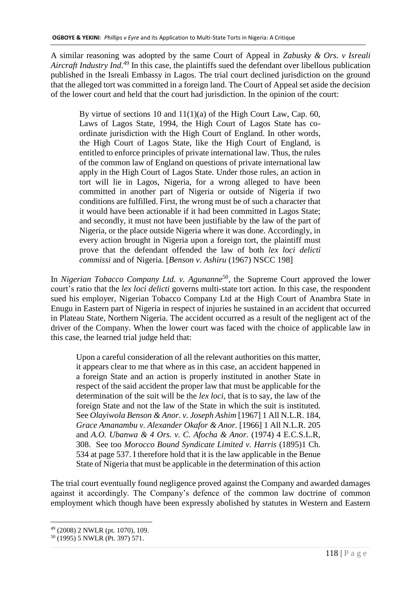A similar reasoning was adopted by the same Court of Appeal in *Zabusky & Ors. v Isreali Aircraft Industry Ind*. <sup>49</sup> In this case, the plaintiffs sued the defendant over libellous publication published in the Isreali Embassy in Lagos. The trial court declined jurisdiction on the ground that the alleged tort was committed in a foreign land. The Court of Appeal set aside the decision of the lower court and held that the court had jurisdiction. In the opinion of the court:

By virtue of sections 10 and  $11(1)(a)$  of the High Court Law, Cap. 60, Laws of Lagos State, 1994, the High Court of Lagos State has coordinate jurisdiction with the High Court of England. In other words, the High Court of Lagos State, like the High Court of England, is entitled to enforce principles of private international law. Thus, the rules of the common law of England on questions of private international law apply in the High Court of Lagos State. Under those rules, an action in tort will lie in Lagos, Nigeria, for a wrong alleged to have been committed in another part of Nigeria or outside of Nigeria if two conditions are fulfilled. First, the wrong must be of such a character that it would have been actionable if it had been committed in Lagos State; and secondly, it must not have been justifiable by the law of the part of Nigeria, or the place outside Nigeria where it was done. Accordingly, in every action brought in Nigeria upon a foreign tort, the plaintiff must prove that the defendant offended the law of both *lex loci delicti commissi* and of Nigeria. [*Benson v. Ashiru* (1967) NSCC 198]

In *Nigerian Tobacco Company Ltd. v. Agunanne*<sup>50</sup>, the Supreme Court approved the lower court's ratio that the *lex loci delicti* governs multi-state tort action. In this case, the respondent sued his employer, Nigerian Tobacco Company Ltd at the High Court of Anambra State in Enugu in Eastern part of Nigeria in respect of injuries he sustained in an accident that occurred in Plateau State, Northern Nigeria. The accident occurred as a result of the negligent act of the driver of the Company. When the lower court was faced with the choice of applicable law in this case, the learned trial judge held that:

Upon a careful consideration of all the relevant authorities on this matter, it appears clear to me that where as in this case, an accident happened in a foreign State and an action is properly instituted in another State in respect of the said accident the proper law that must be applicable for the determination of the suit will be the *lex loci*, that is to say, the law of the foreign State and not the law of the State in which the suit is instituted. See *Olayiwola Benson & Anor. v. Joseph Ashim* [1967] 1 All N.L.R. 184, *Grace Amanambu v. Alexander Okafor & Anor.* [1966] 1 All N.L.R. 205 and *A.O. Ubanwa & 4 Ors. v. C. Afocha & Anor.* (1974) 4 E.C.S.L.R, 308. See too *Morocco Bound Syndicate Limited v. Harris* (1895)1 Ch. 534 at page 537. I therefore hold that it is the law applicable in the Benue State of Nigeria that must be applicable in the determination of this action

The trial court eventually found negligence proved against the Company and awarded damages against it accordingly. The Company's defence of the common law doctrine of common employment which though have been expressly abolished by statutes in Western and Eastern

<sup>1</sup> <sup>49</sup> (2008) 2 NWLR (pt. 1070), 109.

<sup>50</sup> (1995) 5 NWLR (Pt. 397) 571.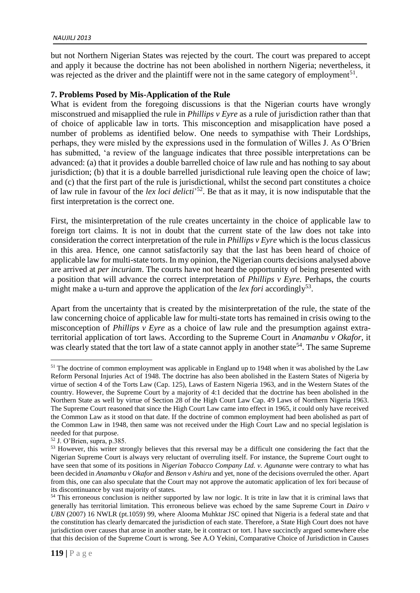but not Northern Nigerian States was rejected by the court. The court was prepared to accept and apply it because the doctrine has not been abolished in northern Nigeria; nevertheless, it was rejected as the driver and the plaintiff were not in the same category of employment<sup>51</sup>.

## **7. Problems Posed by Mis-Application of the Rule**

What is evident from the foregoing discussions is that the Nigerian courts have wrongly misconstrued and misapplied the rule in *Phillips v Eyre* as a rule of jurisdiction rather than that of choice of applicable law in torts. This misconception and misapplication have posed a number of problems as identified below. One needs to sympathise with Their Lordships, perhaps, they were misled by the expressions used in the formulation of Willes J. As O'Brien has submitted, 'a review of the language indicates that three possible interpretations can be advanced: (a) that it provides a double barrelled choice of law rule and has nothing to say about jurisdiction; (b) that it is a double barrelled jurisdictional rule leaving open the choice of law; and (c) that the first part of the rule is jurisdictional, whilst the second part constitutes a choice of law rule in favour of the *lex loci delicti*' <sup>52</sup>. Be that as it may, it is now indisputable that the first interpretation is the correct one.

First, the misinterpretation of the rule creates uncertainty in the choice of applicable law to foreign tort claims. It is not in doubt that the current state of the law does not take into consideration the correct interpretation of the rule in *Phillips v Eyre* which is the locus classicus in this area. Hence, one cannot satisfactorily say that the last has been heard of choice of applicable law for multi-state torts. In my opinion, the Nigerian courts decisions analysed above are arrived at *per incuriam*. The courts have not heard the opportunity of being presented with a position that will advance the correct interpretation of *Phillips v Eyre.* Perhaps, the courts might make a u-turn and approve the application of the *lex fori* accordingly<sup>53</sup>.

Apart from the uncertainty that is created by the misinterpretation of the rule, the state of the law concerning choice of applicable law for multi-state torts has remained in crisis owing to the misconception of *Phillips v Eyre* as a choice of law rule and the presumption against extraterritorial application of tort laws. According to the Supreme Court in *Anamanbu v Okafor,* it was clearly stated that the tort law of a state cannot apply in another state<sup>54</sup>. The same Supreme

-

<sup>&</sup>lt;sup>51</sup> The doctrine of common employment was applicable in England up to 1948 when it was abolished by the Law Reform Personal Injuries Act of 1948. The doctrine has also been abolished in the Eastern States of Nigeria by virtue of section 4 of the Torts Law (Cap. 125), Laws of Eastern Nigeria 1963, and in the Western States of the country. However, the Supreme Court by a majority of 4:1 decided that the doctrine has been abolished in the Northern State as well by virtue of Section 28 of the High Court Law Cap. 49 Laws of Northern Nigeria 1963. The Supreme Court reasoned that since the High Court Law came into effect in 1965, it could only have received the Common Law as it stood on that date. If the doctrine of common employment had been abolished as part of the Common Law in 1948, then same was not received under the High Court Law and no special legislation is needed for that purpose.

<sup>52</sup> J. O'Brien, supra, p.385.

<sup>&</sup>lt;sup>53</sup> However, this writer strongly believes that this reversal may be a difficult one considering the fact that the Nigerian Supreme Court is always very reluctant of overruling itself. For instance, the Supreme Court ought to have seen that some of its positions in *Nigerian Tobacco Company Ltd. v. Agunanne* were contrary to what has been decided in *Anamanbu v Okafor* and *Benson v Ashiru* and yet, none of the decisions overruled the other. Apart from this, one can also speculate that the Court may not approve the automatic application of lex fori because of its discontinuance by vast majority of states.

<sup>&</sup>lt;sup>54</sup> This erroneous conclusion is neither supported by law nor logic. It is trite in law that it is criminal laws that generally has territorial limitation. This erroneous believe was echoed by the same Supreme Court in *Dairo v UBN* (2007) 16 NWLR (pt.1059) 99, where Alooma Muhktar JSC opined that Nigeria is a federal state and that the constitution has clearly demarcated the jurisdiction of each state. Therefore, a State High Court does not have jurisdiction over causes that arose in another state, be it contract or tort. I have succinctly argued somewhere else that this decision of the Supreme Court is wrong. See A.O Yekini, Comparative Choice of Jurisdiction in Causes